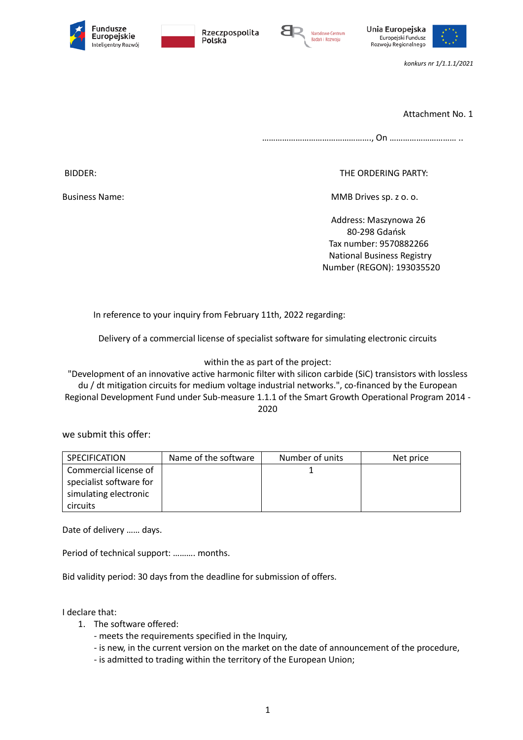









*konkurs nr 1/1.1.1/2021*

Attachment No. 1

…………………………………………., On ………………………… ..

BIDDER: THE ORDERING PARTY:

Business Name: MMB Drives sp. z o. o.

 Address: Maszynowa 26 80-298 Gdańsk Tax number: 9570882266 National Business Registry Number (REGON): 193035520

In reference to your inquiry from February 11th, 2022 regarding:

Delivery of a commercial license of specialist software for simulating electronic circuits

within the as part of the project:

"Development of an innovative active harmonic filter with silicon carbide (SiC) transistors with lossless du / dt mitigation circuits for medium voltage industrial networks.", co-financed by the European Regional Development Fund under Sub-measure 1.1.1 of the Smart Growth Operational Program 2014 - 2020

we submit this offer:

| SPECIFICATION           | Name of the software | Number of units | Net price |
|-------------------------|----------------------|-----------------|-----------|
| Commercial license of   |                      |                 |           |
| specialist software for |                      |                 |           |
| simulating electronic   |                      |                 |           |
| <b>circuits</b>         |                      |                 |           |

Date of delivery …… days.

Period of technical support: ………. months.

Bid validity period: 30 days from the deadline for submission of offers.

I declare that:

- 1. The software offered:
	- meets the requirements specified in the Inquiry,
	- is new, in the current version on the market on the date of announcement of the procedure,
	- is admitted to trading within the territory of the European Union;